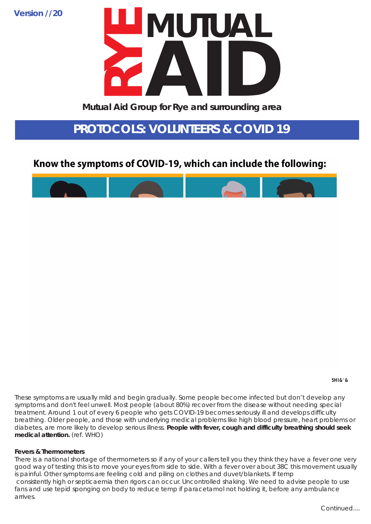**Version //20**

# Mutual Aid Group for Rye and surrounding area Mutual Aid Group for Rye and surrounding area

These symptoms are usually mild and begin gradually. Some people become infected but don't develop any symptoms and don't feel unwell. Most people (about 80%) recover from the disease without needing special treatment. Around 1 out of every 6 people who gets COVID-19 becomes seriously ill and develops difficulty breathing. Older people, and those with underlying medical problems like high blood pressure, heart problems or diabetes, are more likely to develop serious illness. **People with fever, cough and difficulty breathing should seek medical attention.** (ref. WHO)

### **Fevers & Thermometers**

There is a national shortage of thermometers so if any of your callers tell you they think they have a fever one very good way of testing this is to move your eyes from side to side. With a fever over about 38C this movement usually is painful. Other symptoms are feeling cold and piling on clothes and duvet/blankets. If temp consistently high or septicaemia then rigors can occur. Uncontrolled shaking. We need to advise people to use fans and use tepid sponging on body to reduce temp if paracetamol not holding it, before any ambulance arrives.